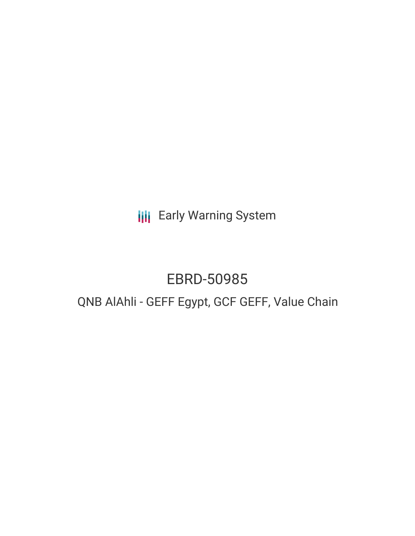**III** Early Warning System

# EBRD-50985

# QNB AlAhli - GEFF Egypt, GCF GEFF, Value Chain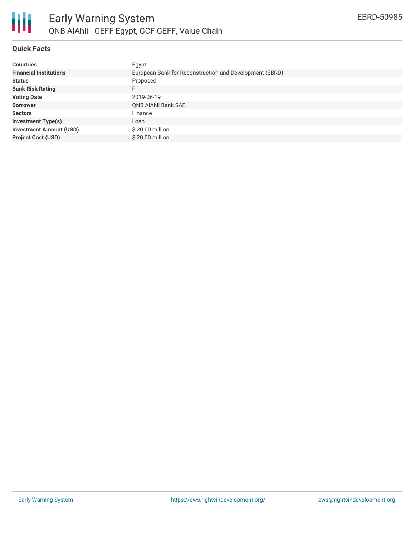

# **Quick Facts**

| <b>Countries</b>               | Egypt                                                   |
|--------------------------------|---------------------------------------------------------|
| <b>Financial Institutions</b>  | European Bank for Reconstruction and Development (EBRD) |
| <b>Status</b>                  | Proposed                                                |
| <b>Bank Risk Rating</b>        | FI                                                      |
| <b>Voting Date</b>             | 2019-06-19                                              |
| <b>Borrower</b>                | <b>QNB AlAhli Bank SAE</b>                              |
| <b>Sectors</b>                 | Finance                                                 |
| <b>Investment Type(s)</b>      | Loan                                                    |
| <b>Investment Amount (USD)</b> | \$20.00 million                                         |
| <b>Project Cost (USD)</b>      | \$20,00 million                                         |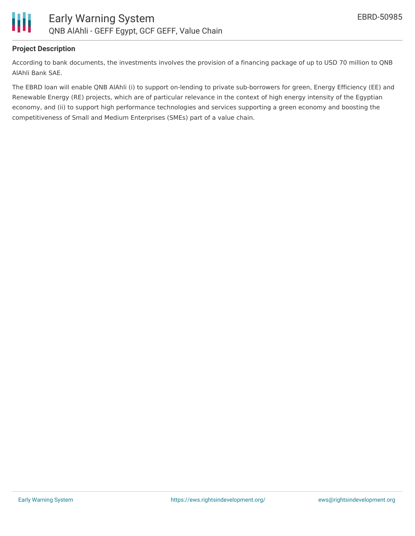

#### **Project Description**

According to bank documents, the investments involves the provision of a financing package of up to USD 70 million to QNB AlAhli Bank SAE.

The EBRD loan will enable QNB AlAhli (i) to support on-lending to private sub-borrowers for green, Energy Efficiency (EE) and Renewable Energy (RE) projects, which are of particular relevance in the context of high energy intensity of the Egyptian economy, and (ii) to support high performance technologies and services supporting a green economy and boosting the competitiveness of Small and Medium Enterprises (SMEs) part of a value chain.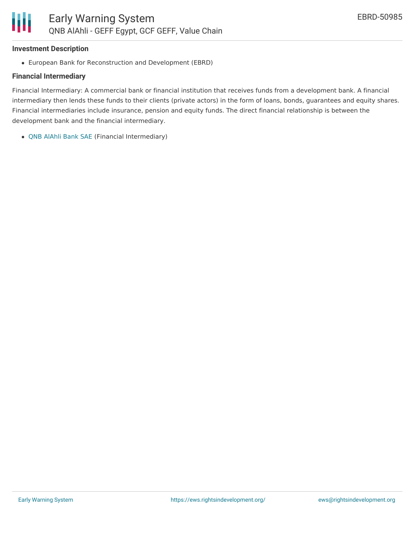#### **Investment Description**

Ш

European Bank for Reconstruction and Development (EBRD)

# **Financial Intermediary**

Financial Intermediary: A commercial bank or financial institution that receives funds from a development bank. A financial intermediary then lends these funds to their clients (private actors) in the form of loans, bonds, guarantees and equity shares. Financial intermediaries include insurance, pension and equity funds. The direct financial relationship is between the development bank and the financial intermediary.

QNB [AlAhli](file:///actor/2051/) Bank SAE (Financial Intermediary)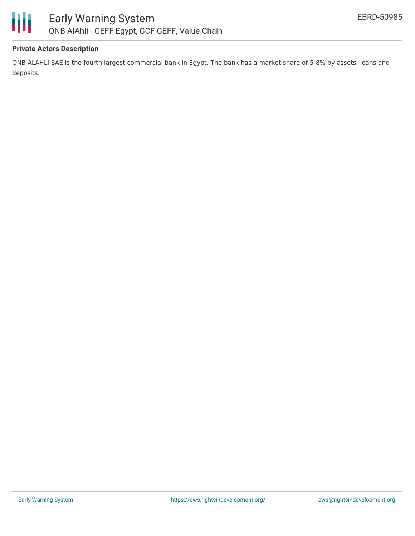

# **Private Actors Description**

QNB ALAHLI SAE is the fourth largest commercial bank in Egypt. The bank has a market share of 5-8% by assets, loans and deposits.